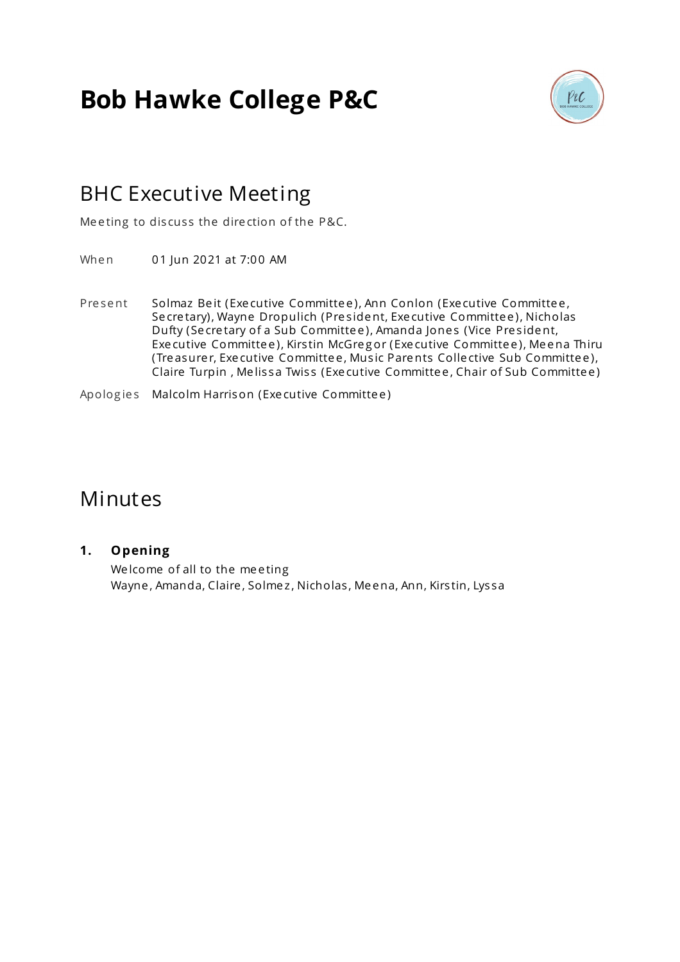# **Bob Hawke College P&C**



## BHC Executive Meeting

Meeting to discuss the direction of the P&C.

When 01 Jun 2021 at 7:00 AM

Present Solmaz Beit (Executive Committee), Ann Conlon (Executive Committee, Se cretary), Wayne Dropulich (President, Executive Committee), Nicholas Dufty (Secretary of a Sub Committee), Amanda Jones (Vice President, Exe cutive Committee), Kirstin McGregor (Executive Committee), Meena Thiru (Tre asure r, Exe cutive Committe e , Mus ic Parents Colle ctive Sub Committe e ), Claire Turpin, Melissa Twiss (Executive Committee, Chair of Sub Committee)

Apolog ie s Malcolm Harrison (Exe cutive Committe e )

### Minutes

#### **1. Opening**

We lcome of all to the meeting Wayne, Amanda, Claire, Solmez, Nicholas, Meena, Ann, Kirstin, Lyssa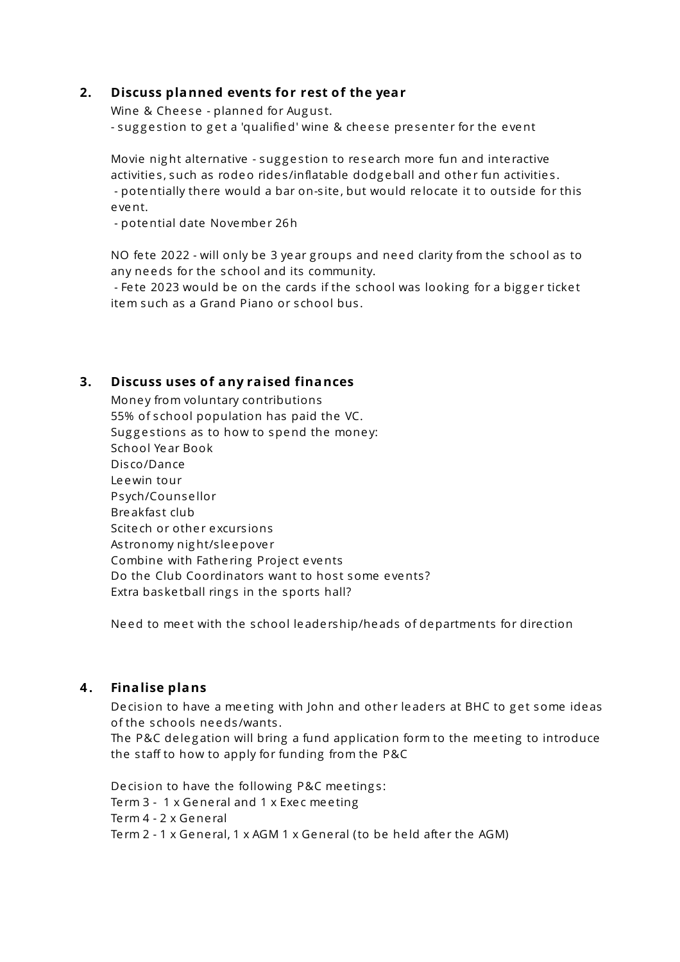#### **2. Discuss planned events for rest of the year**

Wine & Cheese - planned for August. - suggestion to get a 'qualified' wine & cheese presenter for the event

Movie night alternative - suggestion to research more fun and interactive activities, such as rodeo rides/inflatable dodgeball and other fun activities. - potentially there would a bar on-site, but would relocate it to outside for this e vent.

- potential date November 26h

NO fete 2022 - will only be 3 year groups and need clarity from the school as to any ne eds for the s chool and its community.

- Fete 2023 would be on the cards if the school was looking for a bigger ticket item such as a Grand Piano or school bus.

#### **3. Discuss uses of any raised finances**

Money from voluntary contributions 55% of school population has paid the VC. Suggestions as to how to spend the money: School Ye ar Book Dis co/Dance Le ewin tour Ps ych/Counse llor Bre akfast club Scite ch or other excursions As tronomy nig ht/s le epove r Combine with Fathe ring Proje ct e vents Do the Club Coordinators want to host some events? Extra baske tball rings in the sports hall?

Need to meet with the school leadership/heads of departments for direction

#### **4 . Finalise plans**

Decision to have a meeting with John and other leaders at BHC to get some ideas of the s chools ne eds /wants .

The P&C delegation will bring a fund application form to the meeting to introduce the staff to how to apply for funding from the P&C

Decision to have the following P&C meetings: Term 3 - 1 x General and 1 x Exec meeting Te rm 4 - 2 x Gene ral Term 2 - 1 x General, 1 x AGM 1 x General (to be held after the AGM)